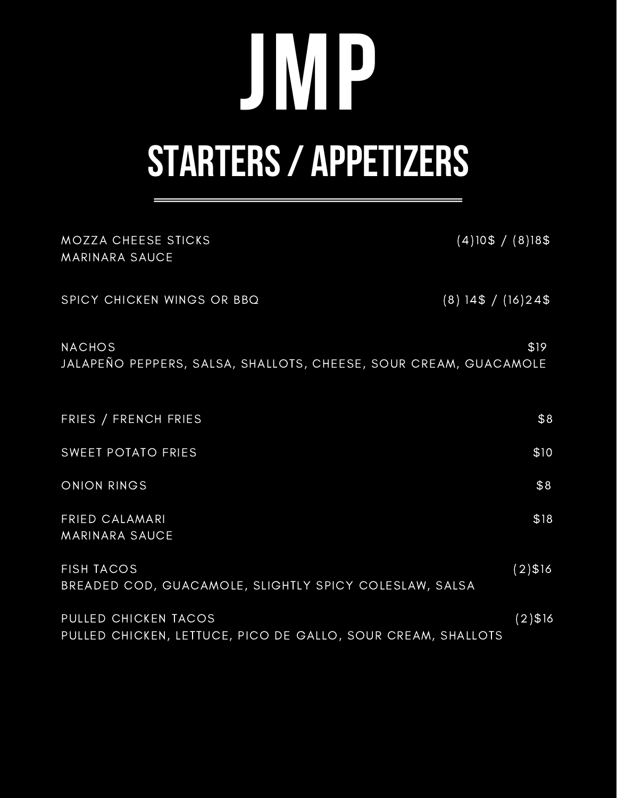## **STARTERS/ APPETIZERS JMP**

| MOZZA CHEESE STICKS<br>MARINARA SAUCE                                                | $(4)$ 10\$ / $(8)$ 18\$ |
|--------------------------------------------------------------------------------------|-------------------------|
| SPICY CHICKEN WINGS OR BBQ                                                           | $(8)$ 14\$ / (16)24\$   |
| <b>NACHOS</b><br>JALAPEÑO PEPPERS, SALSA, SHALLOTS, CHEESE, SOUR CREAM, GUACAMOLE    | \$19                    |
| FRIES / FRENCH FRIES                                                                 | \$8                     |
| SWEET POTATO FRIES                                                                   | \$10                    |
| <b>ONION RINGS</b>                                                                   | \$8                     |
| <b>FRIED CALAMARI</b><br><b>MARINARA SAUCE</b>                                       | \$18                    |
| <b>FISH TACOS</b><br>BREADED COD, GUACAMOLE, SLIGHTLY SPICY COLESLAW, SALSA          | $(2)$ \$16              |
| PULLED CHICKEN TACOS<br>PULLED CHICKEN, LETTUCE, PICO DE GALLO, SOUR CREAM, SHALLOTS | $(2)$ \$16              |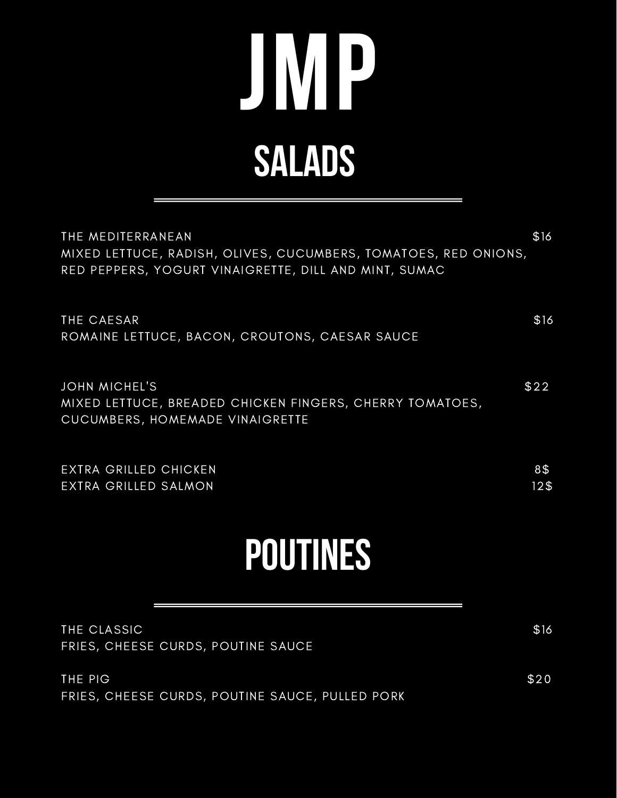## **SALADS JMP**

| <b>POUTINES</b>                                                                                                                               |                        |
|-----------------------------------------------------------------------------------------------------------------------------------------------|------------------------|
| <b>EXTRA GRILLED CHICKEN</b><br>EXTRA GRILLED SALMON                                                                                          | 8\$<br>12 <sub>3</sub> |
| <b>JOHN MICHEL'S</b><br>MIXED LETTUCE, BREADED CHICKEN FINGERS, CHERRY TOMATOES,<br>CUCUMBERS, HOMEMADE VINAIGRETTE                           | \$22                   |
| THE CAESAR<br>ROMAINE LETTUCE, BACON, CROUTONS, CAESAR SAUCE                                                                                  | \$16                   |
| THE MEDITERRANEAN<br>MIXED LETTUCE, RADISH, OLIVES, CUCUMBERS, TOMATOES, RED ONIONS,<br>RED PEPPERS, YOGURT VINAIGRETTE, DILL AND MINT, SUMAC | \$16                   |

| THE CLASSIC<br>FRIES, CHEESE CURDS, POUTINE SAUCE          | \$16 |
|------------------------------------------------------------|------|
| THE PIG<br>FRIES, CHEESE CURDS, POUTINE SAUCE, PULLED PORK | \$20 |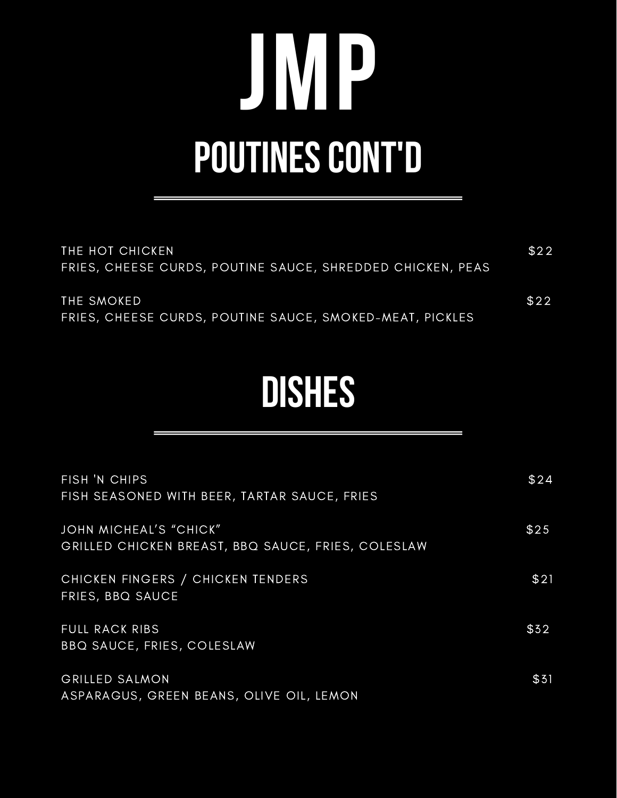### **JMP POUTINES CONT'D**

| THE HOT CHICKEN                                            | \$22 |
|------------------------------------------------------------|------|
| FRIES, CHEESE CURDS, POUTINE SAUCE, SHREDDED CHICKEN, PEAS |      |
|                                                            |      |
| THE SMOKED                                                 | \$22 |
| FRIES, CHEESE CURDS, POUTINE SAUCE, SMOKED-MEAT, PICKLES   |      |

#### **DISHES**

| FISH 'N CHIPS<br>FISH SEASONED WITH BEER, TARTAR SAUCE, FRIES                | \$24 |
|------------------------------------------------------------------------------|------|
| JOHN MICHEAL'S "CHICK"<br>GRILLED CHICKEN BREAST, BBQ SAUCE, FRIES, COLESLAW | \$25 |
| CHICKEN FINGERS / CHICKEN TENDERS<br>FRIES, BBQ SAUCE                        | \$21 |
| <b>FULL RACK RIBS</b><br><b>BBQ SAUCE, FRIES, COLESLAW</b>                   | \$32 |
| <b>GRILLED SALMON</b><br>ASPARAGUS, GREEN BEANS, OLIVE OIL, LEMON            | \$31 |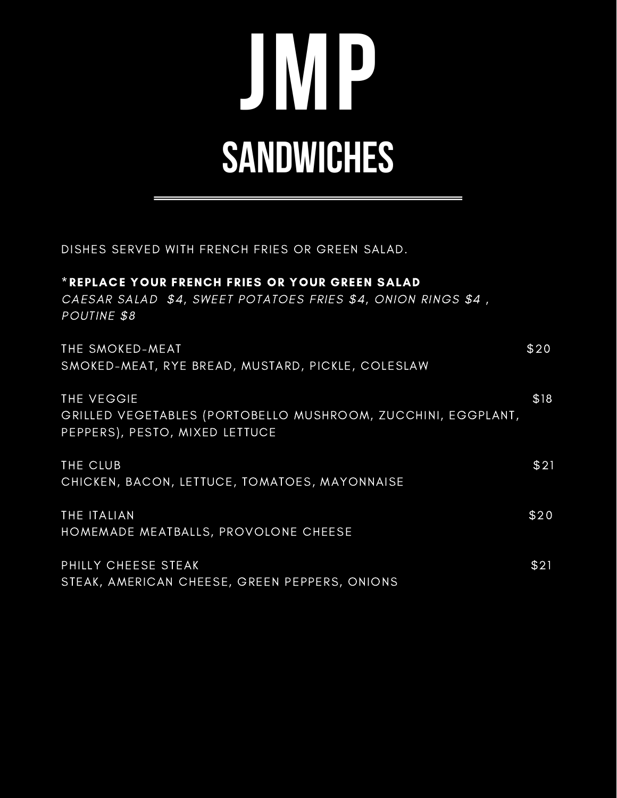### **JMP SANDWICHES**

DISHES SERVED WITH FRENCH FRIES OR GREEN SALAD.

| *REPLACE YOUR FRENCH FRIES OR YOUR GREEN SALAD<br>CAESAR SALAD \$4, SWEET POTATOES FRIES \$4, ONION RINGS \$4,<br>POUTINE \$8 |      |
|-------------------------------------------------------------------------------------------------------------------------------|------|
| THE SMOKED-MEAT<br>SMOKED-MEAT, RYE BREAD, MUSTARD, PICKLE, COLESLAW                                                          | \$20 |
| THE VEGGIE<br>GRILLED VEGETABLES (PORTOBELLO MUSHROOM, ZUCCHINI, EGGPLANT,<br>PEPPERS), PESTO, MIXED LETTUCE                  | \$18 |
| THE CLUB<br>CHICKEN, BACON, LETTUCE, TOMATOES, MAYONNAISE                                                                     | \$21 |
| THE ITALIAN<br>HOMEMADE MEATBALLS, PROVOLONE CHEESE                                                                           | \$20 |
| PHILLY CHEESE STEAK<br>STEAK, AMERICAN CHEESE, GREEN PEPPERS, ONIONS                                                          | \$21 |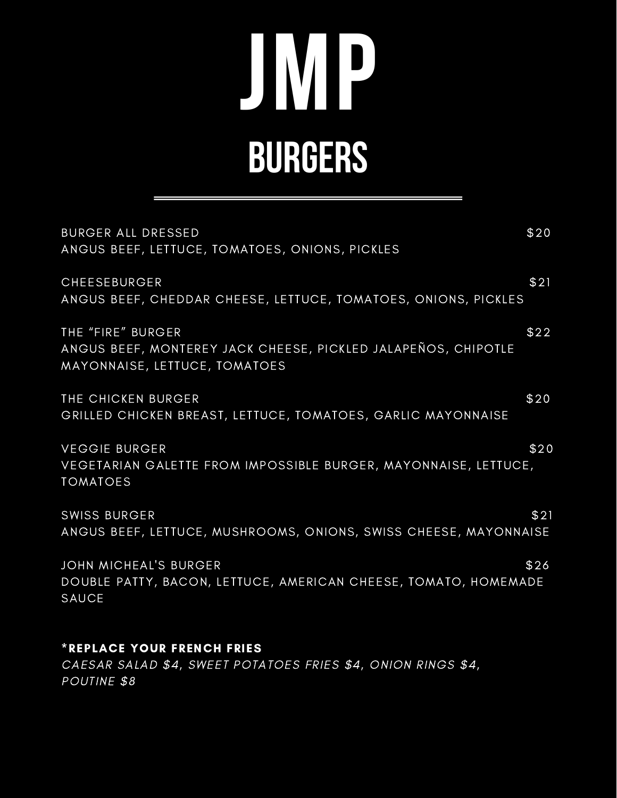### **JMP BURGERS**

| <b>BURGER ALL DRESSED</b><br>ANGUS BEEF, LETTUCE, TOMATOES, ONIONS, PICKLES                                         | \$20 |
|---------------------------------------------------------------------------------------------------------------------|------|
| CHEESEBURGER<br>ANGUS BEEF, CHEDDAR CHEESE, LETTUCE, TOMATOES, ONIONS, PICKLES                                      | \$21 |
| THE "FIRE" BURGER<br>ANGUS BEEF, MONTEREY JACK CHEESE, PICKLED JALAPEÑOS, CHIPOTLE<br>MAYONNAISE, LETTUCE, TOMATOES | \$22 |
| THE CHICKEN BURGER<br>GRILLED CHICKEN BREAST, LETTUCE, TOMATOES, GARLIC MAYONNAISE                                  | \$20 |
| <b>VEGGIE BURGER</b><br>VEGETARIAN GALETTE FROM IMPOSSIBLE BURGER, MAYONNAISE, LETTUCE,<br><b>TOMATOES</b>          | \$20 |
| <b>SWISS BURGER</b><br>ANGUS BEEF, LETTUCE, MUSHROOMS, ONIONS, SWISS CHEESE, MAYONNAISE                             | \$21 |
| <b>JOHN MICHEAL'S BURGER</b><br>DOUBLE PATTY, BACON, LETTUCE, AMERICAN CHEESE, TOMATO, HOMEMADE<br><b>SAUCE</b>     | \$26 |
| <b>*REPLACE YOUR FRENCH FRIES</b><br>CAESAR SALAD \$4, SWEET POTATOES FRIES \$4, ONION RINGS \$4,                   |      |

POUTINE \$8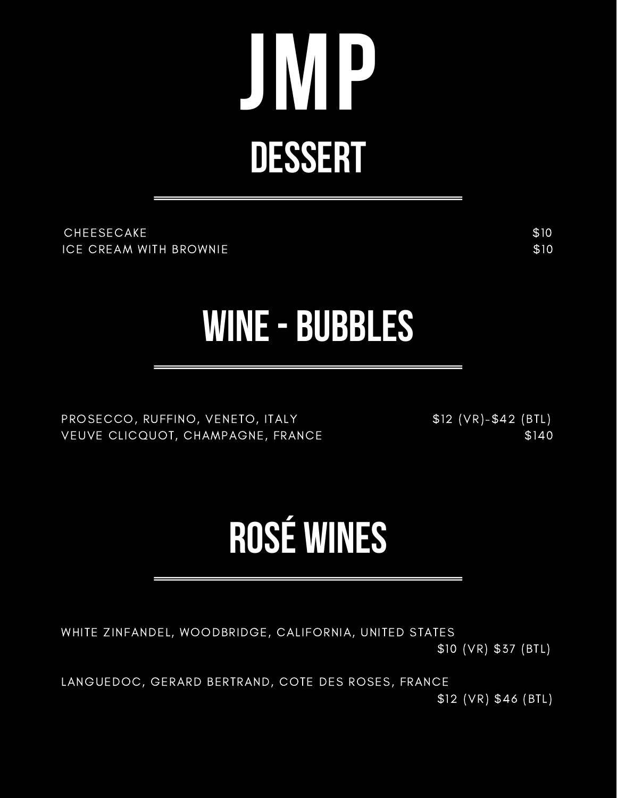### **JMP DESSERT**

CHEESECAKE \$10 ICE CREAM WITH BROWNIE \$10

#### **WINE- BUBBLES**

PROSECCO, RUFFINO, VENETO, ITALY \$12 (VR)-\$42 (BTL) VEUVE CLICQUOT, CHAMPAGNE, FRANCE \$140

#### **ROSÉ WINES**

WHITE ZINFANDEL, WOODBRIDGE, CALIFORNIA, UNITED STATES \$10 (VR) \$37 (BTL)

LANGUEDOC, GERARD BERTRAND, COTE DES ROSES, FRANCE \$12 (VR) \$46 (BTL)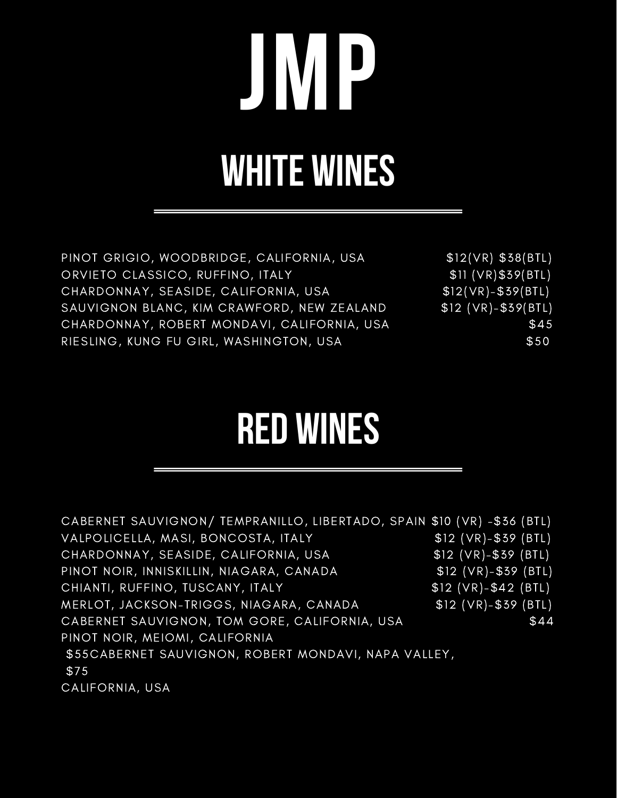# **JMP WHITE WINES**

PINOT GRIGIO, WOODBRIDGE, CALIFORNIA, USA \$12(VR) \$38(BTL) ORVIETO CLASSICO, RUFFINO, ITALY **\$11 (VR)\$39(BTL)** CHARDONNAY, SEASIDE, CALIFORNIA, USA  $$12(VR)-$39(BTL)$ SAUVIGNON BLANC, KIM CRAWFORD, NEW ZEALAND \$12 (VR)-\$39(BTL) CHARDONNAY, ROBERT MONDAVI, CALIFORNIA, USA \$45 RIESLING, KUNG FU GIRL, WASHINGTON, USA  $$50$ 

#### **RED WINES**

CABERNET SAUVIGNON/ TEMPRANILLO, LIBERTADO, SPAIN \$10 (VR) -\$36 (BTL) VALPOLICELLA, MASI, BONCOSTA, ITALY \$12 (VR)-\$39 (BTL) CHARDONNAY, SEASIDE, CALIFORNIA, USA \$12 (VR)-\$39 (BTL) PINOT NOIR, INNISKILLIN, NIAGARA, CANADA \$12 (VR)-\$39 (BTL) CHIANTI, RUFFINO, TUSCANY, ITALY **\$12** (VR)-\$42 (BTL) MERLOT, JACKSON-TRIGGS, NIAGARA, CANADA \$12 (VR)-\$39 (BTL) CABERNET SAUVIGNON, TOM GORE, CALIFORNIA, USA  $$44$ PINOT NOIR, MEIOMI, CALIFORNIA \$55CABERNET SAUVIGNON, ROBERT MONDAVI, NAPA VALLEY, \$75 CALIFORNIA, USA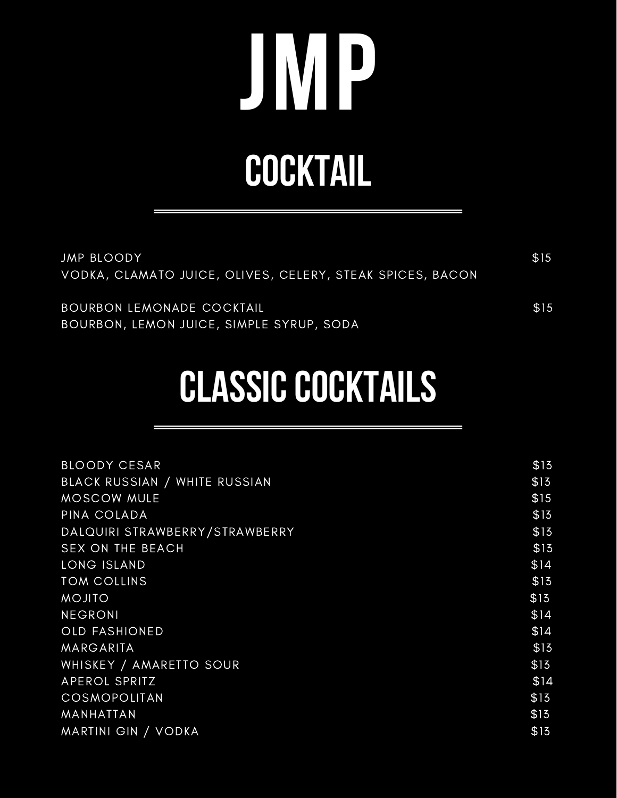## **JMP COCKTAIL**

| JMP BLOODY<br>VODKA, CLAMATO JUICE, OLIVES, CELERY, STEAK SPICES, BACON       | \$15 |
|-------------------------------------------------------------------------------|------|
| <b>BOURBON LEMONADE COCKTAIL</b><br>BOURBON, LEMON JUICE, SIMPLE SYRUP, SODA, | \$15 |

#### **CLASSIC COCKTAILS**

| <b>BLOODY CESAR</b>            | \$15 |
|--------------------------------|------|
| BLACK RUSSIAN / WHITE RUSSIAN  | \$15 |
| <b>MOSCOW MULE</b>             | \$15 |
| PINA COLADA                    | \$13 |
| DALQUIRI STRAWBERRY/STRAWBERRY | \$15 |
| <b>SEX ON THE BEACH</b>        | \$13 |
| LONG ISLAND                    | \$14 |
| <b>TOM COLLINS</b>             | \$13 |
| <b>MOJITO</b>                  | \$13 |
| <b>NEGRONI</b>                 | \$14 |
| <b>OLD FASHIONED</b>           | \$14 |
| MARGARITA                      | \$15 |
| WHISKEY / AMARETTO SOUR        | \$13 |
| APEROL SPRITZ                  | \$14 |
| <b>COSMOPOLITAN</b>            | \$13 |
| MANHATTAN                      | \$13 |
| <b>MARTINI GIN / VODKA</b>     | \$13 |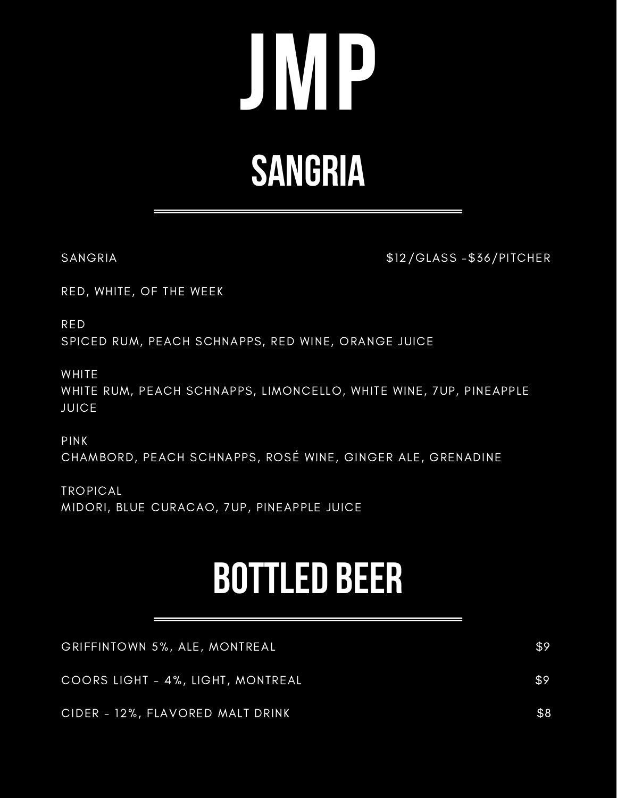## **JMP SANGRIA**

SANGRIA  $$12/GLASS - $36/PITCHER$ 

RED, WHITE, OF THE WEEK

RED SPICED RUM, PEACH SCHNAPPS, RED WINE, ORANGE JUICE

WHITE

WHITE RUM, PEACH SCHNAPPS, LIMONCELLO, WHITE WINE, 7UP, PINEAPPLE JUICE

PINK CHAMBORD, PEACH SCHNAPPS, ROSÉ WINE, GINGER ALE, GRENADINE

TROPICAL MIDORI, BLUE CURACAO, 7UP, PINEAPPLE JUICE

#### **BOTTLED BEER**

| GRIFFINTOWN 5%, ALE, MONTREAL     | \$9 |
|-----------------------------------|-----|
| COORS LIGHT - 4%, LIGHT, MONTREAL | \$9 |
| CIDER - 12%, FLAVORED MALT DRINK  | \$8 |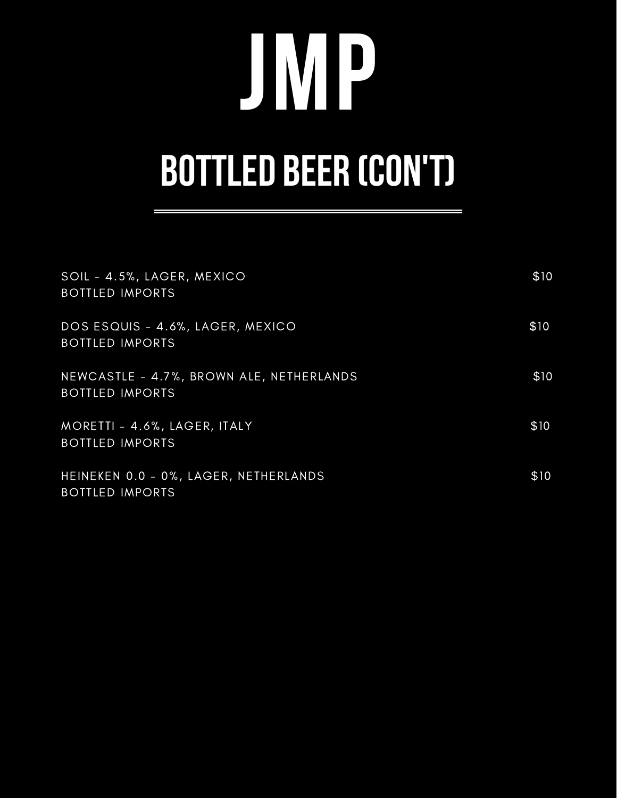# **JMP BOTTLED BEER (CON'T)**

| SOIL - 4.5%, LAGER, MEXICO<br><b>BOTTLED IMPORTS</b>               | \$10 |
|--------------------------------------------------------------------|------|
| DOS ESQUIS - 4.6%, LAGER, MEXICO<br><b>BOTTLED IMPORTS</b>         | \$10 |
| NEWCASTLE - 4.7%, BROWN ALE, NETHERLANDS<br><b>BOTTLED IMPORTS</b> | \$10 |
| MORETTI - 4.6%, LAGER, ITALY<br><b>BOTTLED IMPORTS</b>             | \$10 |
| HEINEKEN 0.0 - 0%, LAGER, NETHERLANDS<br><b>BOTTLED IMPORTS</b>    | \$10 |